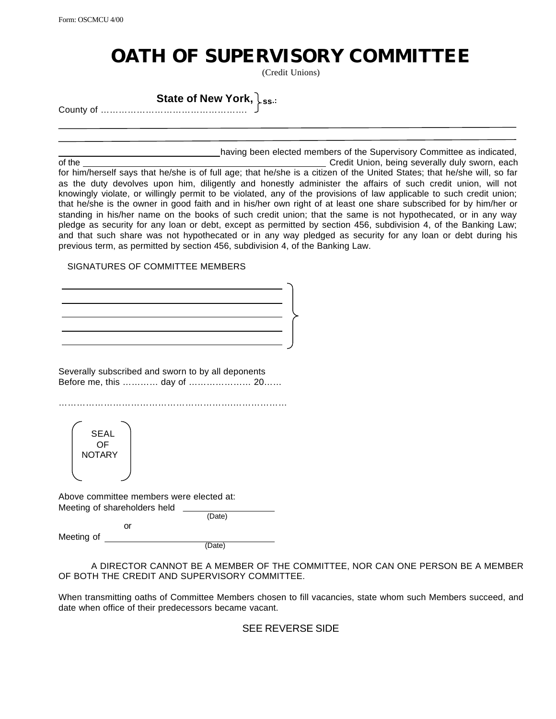## **OATH OF SUPERVISORY COMMITTEE**

(Credit Unions)

**State of New York, ss.:** County of ………………………………………….

having been elected members of the Supervisory Committee as indicated,

of the Credit Union, being severally duly sworn, each of the Credit Union, being severally duly sworn, each for him/herself says that he/she is of full age; that he/she is a citizen of the United States; that he/she will, so far as the duty devolves upon him, diligently and honestly administer the affairs of such credit union, will not knowingly violate, or willingly permit to be violated, any of the provisions of law applicable to such credit union; that he/she is the owner in good faith and in his/her own right of at least one share subscribed for by him/her or standing in his/her name on the books of such credit union; that the same is not hypothecated, or in any way pledge as security for any loan or debt, except as permitted by section 456, subdivision 4, of the Banking Law; and that such share was not hypothecated or in any way pledged as security for any loan or debt during his previous term, as permitted by section 456, subdivision 4, of the Banking Law.

## SIGNATURES OF COMMITTEE MEMBERS

Severally subscribed and sworn to by all deponents Before me, this ………… day of ………………… 20……

………………………………………………….………………

SEAL OF **NOTARY** 

Above committee members were elected at: Meeting of shareholders held

or

(Date)

Meeting of

(Date)

A DIRECTOR CANNOT BE A MEMBER OF THE COMMITTEE, NOR CAN ONE PERSON BE A MEMBER OF BOTH THE CREDIT AND SUPERVISORY COMMITTEE.

When transmitting oaths of Committee Members chosen to fill vacancies, state whom such Members succeed, and date when office of their predecessors became vacant.

## SEE REVERSE SIDE